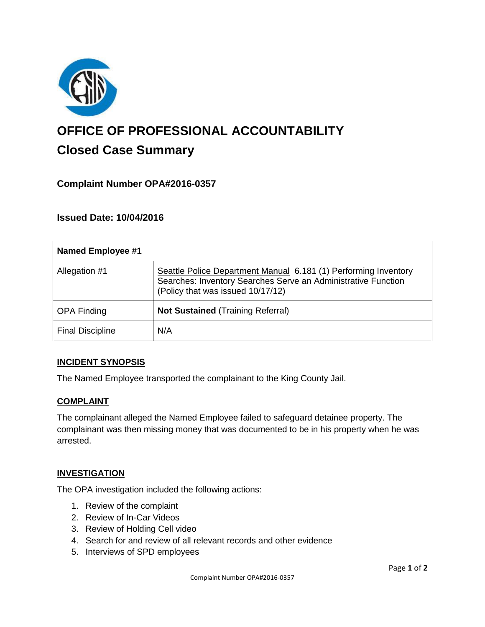

# **OFFICE OF PROFESSIONAL ACCOUNTABILITY Closed Case Summary**

## **Complaint Number OPA#2016-0357**

### **Issued Date: 10/04/2016**

| <b>Named Employee #1</b> |                                                                                                                                                                       |
|--------------------------|-----------------------------------------------------------------------------------------------------------------------------------------------------------------------|
| Allegation #1            | Seattle Police Department Manual 6.181 (1) Performing Inventory<br>Searches: Inventory Searches Serve an Administrative Function<br>(Policy that was issued 10/17/12) |
| <b>OPA Finding</b>       | <b>Not Sustained (Training Referral)</b>                                                                                                                              |
| <b>Final Discipline</b>  | N/A                                                                                                                                                                   |

#### **INCIDENT SYNOPSIS**

The Named Employee transported the complainant to the King County Jail.

#### **COMPLAINT**

The complainant alleged the Named Employee failed to safeguard detainee property. The complainant was then missing money that was documented to be in his property when he was arrested.

#### **INVESTIGATION**

The OPA investigation included the following actions:

- 1. Review of the complaint
- 2. Review of In-Car Videos
- 3. Review of Holding Cell video
- 4. Search for and review of all relevant records and other evidence
- 5. Interviews of SPD employees